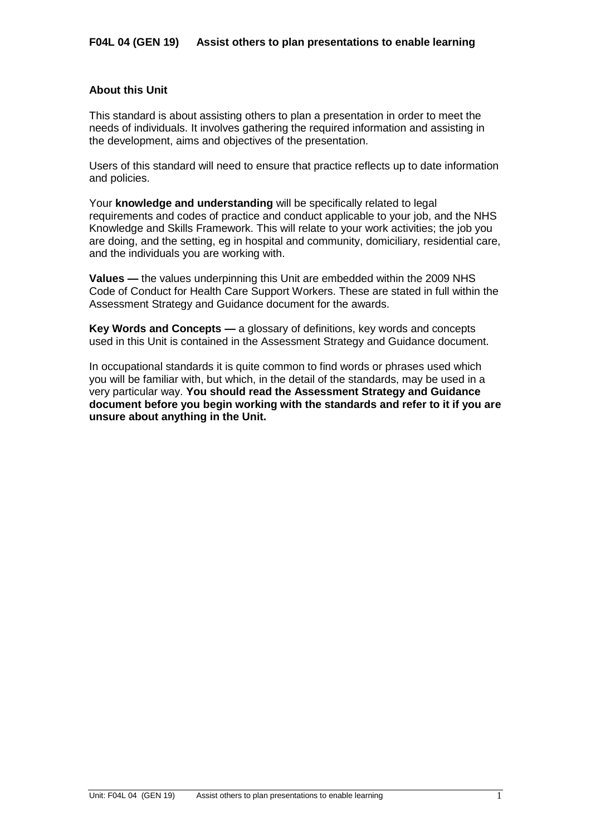# **About this Unit**

This standard is about assisting others to plan a presentation in order to meet the needs of individuals. It involves gathering the required information and assisting in the development, aims and objectives of the presentation.

Users of this standard will need to ensure that practice reflects up to date information and policies.

Your **knowledge and understanding** will be specifically related to legal requirements and codes of practice and conduct applicable to your job, and the NHS Knowledge and Skills Framework. This will relate to your work activities; the job you are doing, and the setting, eg in hospital and community, domiciliary, residential care, and the individuals you are working with.

**Values —** the values underpinning this Unit are embedded within the 2009 NHS Code of Conduct for Health Care Support Workers. These are stated in full within the Assessment Strategy and Guidance document for the awards.

**Key Words and Concepts —** a glossary of definitions, key words and concepts used in this Unit is contained in the Assessment Strategy and Guidance document.

In occupational standards it is quite common to find words or phrases used which you will be familiar with, but which, in the detail of the standards, may be used in a very particular way. **You should read the Assessment Strategy and Guidance document before you begin working with the standards and refer to it if you are unsure about anything in the Unit.**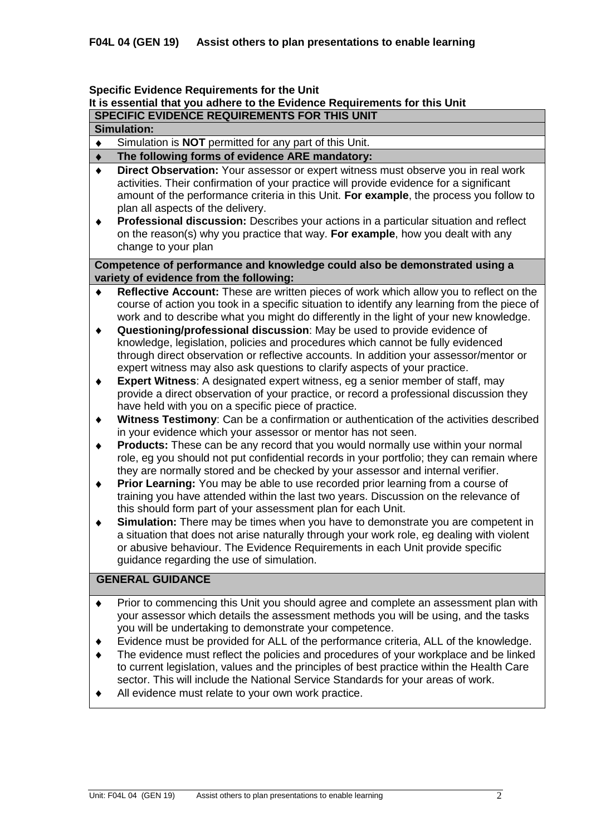### **Specific Evidence Requirements for the Unit**

# **It is essential that you adhere to the Evidence Requirements for this Unit**

# **SPECIFIC EVIDENCE REQUIREMENTS FOR THIS UNIT**

# **Simulation:**

Simulation is **NOT** permitted for any part of this Unit.  $\bullet$ 

#### **The following forms of evidence ARE mandatory:**  $\blacklozenge$

- **Direct Observation:** Your assessor or expert witness must observe you in real work  $\bullet$ activities. Their confirmation of your practice will provide evidence for a significant amount of the performance criteria in this Unit. **For example**, the process you follow to plan all aspects of the delivery.
- $\blacklozenge$ **Professional discussion:** Describes your actions in a particular situation and reflect on the reason(s) why you practice that way. **For example**, how you dealt with any change to your plan

## **Competence of performance and knowledge could also be demonstrated using a variety of evidence from the following:**

- **Reflective Account:** These are written pieces of work which allow you to reflect on the  $\blacklozenge$ course of action you took in a specific situation to identify any learning from the piece of work and to describe what you might do differently in the light of your new knowledge.
- **Questioning/professional discussion**: May be used to provide evidence of  $\blacklozenge$ knowledge, legislation, policies and procedures which cannot be fully evidenced through direct observation or reflective accounts. In addition your assessor/mentor or expert witness may also ask questions to clarify aspects of your practice.
- **Expert Witness**: A designated expert witness, eg a senior member of staff, may  $\blacklozenge$ provide a direct observation of your practice, or record a professional discussion they have held with you on a specific piece of practice.
- **Witness Testimony**: Can be a confirmation or authentication of the activities described  $\ddot{\bullet}$ in your evidence which your assessor or mentor has not seen.
- **Products:** These can be any record that you would normally use within your normal  $\blacklozenge$ role, eg you should not put confidential records in your portfolio; they can remain where they are normally stored and be checked by your assessor and internal verifier.
- **Prior Learning:** You may be able to use recorded prior learning from a course of  $\ddot{\bullet}$ training you have attended within the last two years. Discussion on the relevance of this should form part of your assessment plan for each Unit.
- **Simulation:** There may be times when you have to demonstrate you are competent in  $\ddot{\bullet}$ a situation that does not arise naturally through your work role, eg dealing with violent or abusive behaviour. The Evidence Requirements in each Unit provide specific guidance regarding the use of simulation.

# **GENERAL GUIDANCE**

- Prior to commencing this Unit you should agree and complete an assessment plan with  $\blacklozenge$ your assessor which details the assessment methods you will be using, and the tasks you will be undertaking to demonstrate your competence.
- Evidence must be provided for ALL of the performance criteria, ALL of the knowledge.
- The evidence must reflect the policies and procedures of your workplace and be linked to current legislation, values and the principles of best practice within the Health Care sector. This will include the National Service Standards for your areas of work.
- All evidence must relate to your own work practice.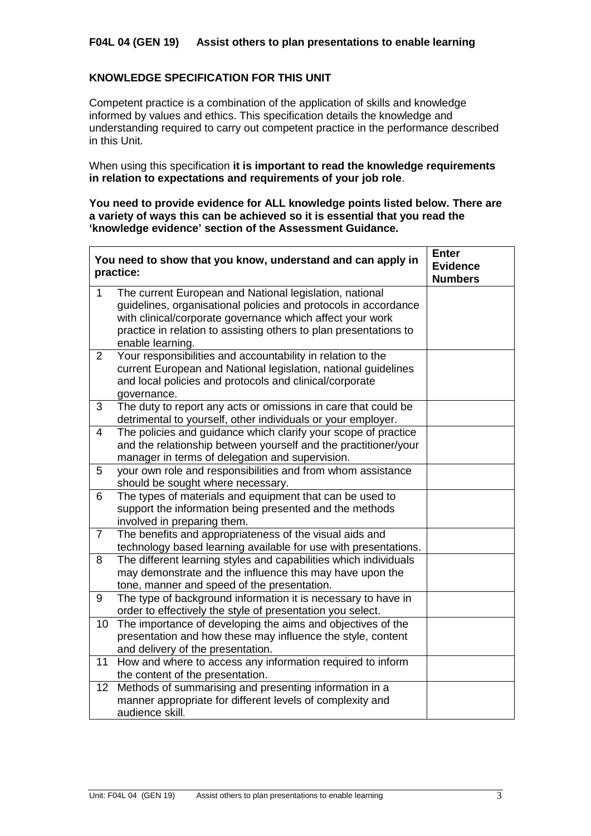# **F04L 04 (GEN 19) Assist others to plan presentations to enable learning**

# **KNOWLEDGE SPECIFICATION FOR THIS UNIT**

 $\mathbf{r}$ 

Competent practice is a combination of the application of skills and knowledge informed by values and ethics. This specification details the knowledge and understanding required to carry out competent practice in the performance described in this Unit.

When using this specification **it is important to read the knowledge requirements in relation to expectations and requirements of your job role**.

**You need to provide evidence for ALL knowledge points listed below. There are a variety of ways this can be achieved so it is essential that you read the 'knowledge evidence' section of the Assessment Guidance.**

|                | You need to show that you know, understand and can apply in<br>practice:                                                                                                                                                                                                         | <b>Enter</b><br><b>Evidence</b><br><b>Numbers</b> |
|----------------|----------------------------------------------------------------------------------------------------------------------------------------------------------------------------------------------------------------------------------------------------------------------------------|---------------------------------------------------|
| 1              | The current European and National legislation, national<br>guidelines, organisational policies and protocols in accordance<br>with clinical/corporate governance which affect your work<br>practice in relation to assisting others to plan presentations to<br>enable learning. |                                                   |
| $\overline{2}$ | Your responsibilities and accountability in relation to the<br>current European and National legislation, national guidelines<br>and local policies and protocols and clinical/corporate<br>governance.                                                                          |                                                   |
| 3              | The duty to report any acts or omissions in care that could be<br>detrimental to yourself, other individuals or your employer.                                                                                                                                                   |                                                   |
| 4              | The policies and guidance which clarify your scope of practice<br>and the relationship between yourself and the practitioner/your<br>manager in terms of delegation and supervision.                                                                                             |                                                   |
| 5              | your own role and responsibilities and from whom assistance<br>should be sought where necessary.                                                                                                                                                                                 |                                                   |
| 6              | The types of materials and equipment that can be used to<br>support the information being presented and the methods<br>involved in preparing them.                                                                                                                               |                                                   |
| $\overline{7}$ | The benefits and appropriateness of the visual aids and<br>technology based learning available for use with presentations.                                                                                                                                                       |                                                   |
| 8              | The different learning styles and capabilities which individuals<br>may demonstrate and the influence this may have upon the<br>tone, manner and speed of the presentation.                                                                                                      |                                                   |
| 9              | The type of background information it is necessary to have in<br>order to effectively the style of presentation you select.                                                                                                                                                      |                                                   |
| 10             | The importance of developing the aims and objectives of the<br>presentation and how these may influence the style, content<br>and delivery of the presentation.                                                                                                                  |                                                   |
| 11             | How and where to access any information required to inform<br>the content of the presentation.                                                                                                                                                                                   |                                                   |
| 12             | Methods of summarising and presenting information in a<br>manner appropriate for different levels of complexity and<br>audience skill.                                                                                                                                           |                                                   |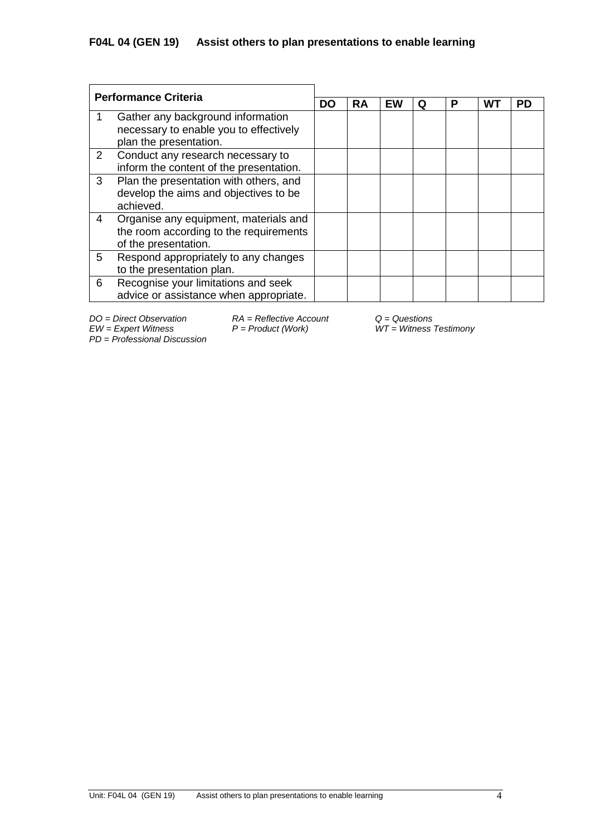| <b>Performance Criteria</b> |                                                                                                         |    |           |           |   |   |    |           |
|-----------------------------|---------------------------------------------------------------------------------------------------------|----|-----------|-----------|---|---|----|-----------|
|                             |                                                                                                         | DO | <b>RA</b> | <b>EW</b> | O | Р | W٦ | <b>PD</b> |
|                             | Gather any background information<br>necessary to enable you to effectively<br>plan the presentation.   |    |           |           |   |   |    |           |
| $\overline{2}$              | Conduct any research necessary to<br>inform the content of the presentation.                            |    |           |           |   |   |    |           |
| 3                           | Plan the presentation with others, and<br>develop the aims and objectives to be<br>achieved.            |    |           |           |   |   |    |           |
| 4                           | Organise any equipment, materials and<br>the room according to the requirements<br>of the presentation. |    |           |           |   |   |    |           |
| 5                           | Respond appropriately to any changes<br>to the presentation plan.                                       |    |           |           |   |   |    |           |
| 6                           | Recognise your limitations and seek<br>advice or assistance when appropriate.                           |    |           |           |   |   |    |           |

*DO = Direct Observation RA = Reflective Account Q = Questions*

*EW = Expert Witness P = Product (Work) WT = Witness Testimony*

*PD* = *Professional Discussion*